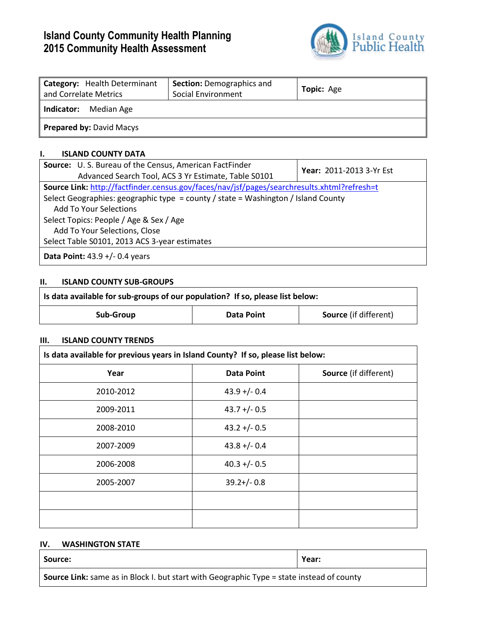# **Island County Community Health Planning 2015 Community Health Assessment**



| <b>Category:</b> Health Determinant<br>and Correlate Metrics | <b>Section: Demographics and</b><br>Social Environment | Topic: Age |  |  |  |  |
|--------------------------------------------------------------|--------------------------------------------------------|------------|--|--|--|--|
| Median Age<br>  Indicator:                                   |                                                        |            |  |  |  |  |
| Prepared by: David Macys                                     |                                                        |            |  |  |  |  |

## **I. ISLAND COUNTY DATA**

| <b>Source:</b> U.S. Bureau of the Census, American FactFinder<br>Advanced Search Tool, ACS 3 Yr Estimate, Table S0101 | Year: 2011-2013 3-Yr Est |  |  |  |  |  |
|-----------------------------------------------------------------------------------------------------------------------|--------------------------|--|--|--|--|--|
| Source Link: http://factfinder.census.gov/faces/nav/jsf/pages/searchresults.xhtml?refresh=t                           |                          |  |  |  |  |  |
| Select Geographies: geographic type = county / state = Washington / Island County                                     |                          |  |  |  |  |  |
| <b>Add To Your Selections</b>                                                                                         |                          |  |  |  |  |  |
| Select Topics: People / Age & Sex / Age                                                                               |                          |  |  |  |  |  |
| Add To Your Selections, Close                                                                                         |                          |  |  |  |  |  |
| Select Table S0101, 2013 ACS 3-year estimates                                                                         |                          |  |  |  |  |  |
| <b>Data Point:</b> $43.9 +/- 0.4$ years                                                                               |                          |  |  |  |  |  |

## **II. ISLAND COUNTY SUB-GROUPS**

| Is data available for sub-groups of our population? If so, please list below: |            |                              |  |  |  |  |
|-------------------------------------------------------------------------------|------------|------------------------------|--|--|--|--|
| Sub-Group                                                                     | Data Point | <b>Source</b> (if different) |  |  |  |  |

#### **III. ISLAND COUNTY TRENDS**

| Is data available for previous years in Island County? If so, please list below: |                   |                              |  |  |  |  |
|----------------------------------------------------------------------------------|-------------------|------------------------------|--|--|--|--|
| Year                                                                             | <b>Data Point</b> | <b>Source</b> (if different) |  |  |  |  |
| 2010-2012                                                                        | $43.9 + (-0.4)$   |                              |  |  |  |  |
| 2009-2011                                                                        | $43.7 + (-0.5)$   |                              |  |  |  |  |
| 2008-2010                                                                        | $43.2 + (-0.5)$   |                              |  |  |  |  |
| 2007-2009                                                                        | $43.8 + (-0.4)$   |                              |  |  |  |  |
| 2006-2008                                                                        | $40.3 + (-0.5)$   |                              |  |  |  |  |
| 2005-2007                                                                        | $39.2 + / - 0.8$  |                              |  |  |  |  |
|                                                                                  |                   |                              |  |  |  |  |
|                                                                                  |                   |                              |  |  |  |  |

#### **IV. WASHINGTON STATE**

| Source:                                                                                   | Year: |
|-------------------------------------------------------------------------------------------|-------|
| Source Link: same as in Block I. but start with Geographic Type = state instead of county |       |